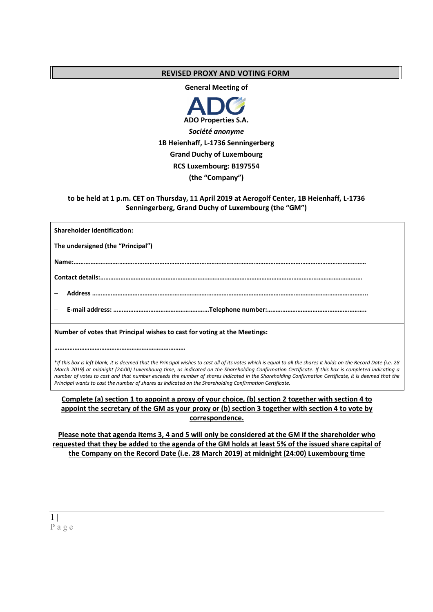# **REVISED PROXY AND VOTING FORM**

**General Meeting of** 



**to be held at 1 p.m. CET on Thursday, 11 April 2019 at Aerogolf Center, 1B Heienhaff, L-1736 Senningerberg, Grand Duchy of Luxembourg (the "GM")**

| <b>Shareholder identification:</b>                                        |  |  |
|---------------------------------------------------------------------------|--|--|
| The undersigned (the "Principal")                                         |  |  |
|                                                                           |  |  |
|                                                                           |  |  |
|                                                                           |  |  |
|                                                                           |  |  |
| Number of votes that Principal wishes to cast for voting at the Meetings: |  |  |
|                                                                           |  |  |

\**If this box is left blank, it is deemed that the Principal wishes to cast all of its votes which is equal to all the shares it holds on the Record Date (i.e. 28 March 2019) at midnight (24:00) Luxembourg time, as indicated on the Shareholding Confirmation Certificate. If this box is completed indicating a number of votes to cast and that number exceeds the number of shares indicated in the Shareholding Confirmation Certificate, it is deemed that the Principal wants to cast the number of shares as indicated on the Shareholding Confirmation Certificate.*

## **Complete (a) section 1 to appoint a proxy of your choice, (b) section 2 together with section 4 to appoint the secretary of the GM as your proxy or (b) section 3 together with section 4 to vote by correspondence.**

**Please note that agenda items 3, 4 and 5 will only be considered at the GM if the shareholder who requested that they be added to the agenda of the GM holds at least 5% of the issued share capital of the Company on the Record Date (i.e. 28 March 2019) at midnight (24:00) Luxembourg time**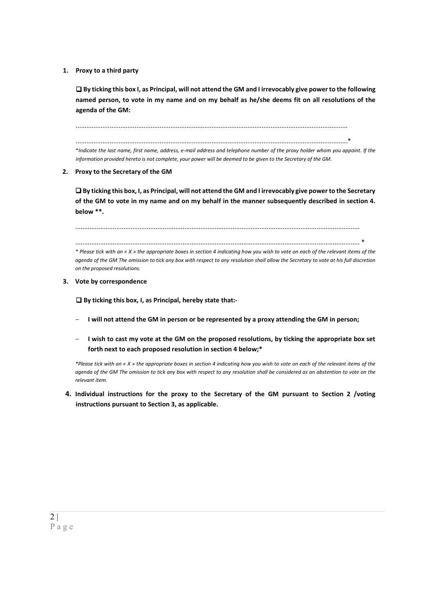**1. Proxy to a third party** 

 **By ticking this box I, as Principal, will not attend the GM and I irrevocably give power to the following named person, to vote in my name and on my behalf as he/she deems fit on all resolutions of the agenda of the GM:** 

........................................................................................................................................................

........................................................................................................................................................\*

\**Indicate the last name, first name, address, e-mail address and telephone number of the proxy holder whom you appoint. If the information provided hereto is not complete, your power will be deemed to be given to the Secretary of the GM.* 

**2. Proxy to the Secretary of the GM** 

 **By ticking this box, I, as Principal, will not attend the GM and I irrevocably give power to the Secretary of the GM to vote in my name and on my behalf in the manner subsequently described in section 4. below \*\*.** 

...............................................................................................................................................................

............................................................................................................................................................... \* *\* Please tick with an « X » the appropriate boxes in section 4 indicating how you wish to vote on each of the relevant items of the agenda of the GM The omission to tick any box with respect to any resolution shall allow the Secretary to vote at his full discretion on the proposed resolutions.* 

**3. Vote by correspondence** 

□ By ticking this box, I, as Principal, hereby state that:-

- **I** will not attend the GM in person or be represented by a proxy attending the GM in person;
- **I wish to cast my vote at the GM on the proposed resolutions, by ticking the appropriate box set forth next to each proposed resolution in section 4 below;\***

*\*Please tick with an « X » the appropriate boxes in section 4 indicating how you wish to vote on each of the relevant items of the agenda of the GM The omission to tick any box with respect to any resolution shall be considered as an abstention to vote on the relevant item.* 

**4. Individual instructions for the proxy to the Secretary of the GM pursuant to Section 2 /voting instructions pursuant to Section 3, as applicable.**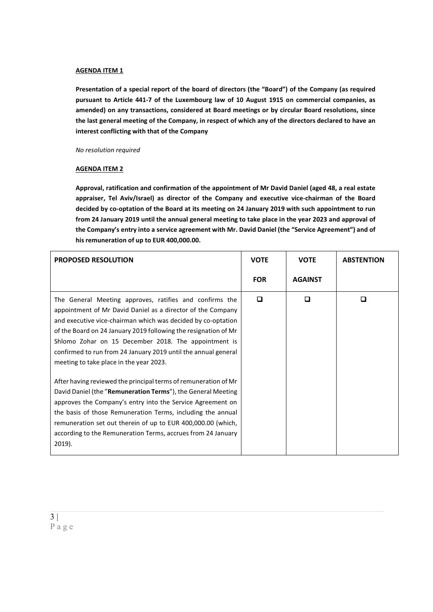#### **AGENDA ITEM 1**

**Presentation of a special report of the board of directors (the "Board") of the Company (as required pursuant to Article 441-7 of the Luxembourg law of 10 August 1915 on commercial companies, as amended) on any transactions, considered at Board meetings or by circular Board resolutions, since the last general meeting of the Company, in respect of which any of the directors declared to have an interest conflicting with that of the Company** 

*No resolution required* 

### **AGENDA ITEM 2**

**Approval, ratification and confirmation of the appointment of Mr David Daniel (aged 48, a real estate appraiser, Tel Aviv/Israel) as director of the Company and executive vice-chairman of the Board decided by co-optation of the Board at its meeting on 24 January 2019 with such appointment to run from 24 January 2019 until the annual general meeting to take place in the year 2023 and approval of the Company's entry into a service agreement with Mr. David Daniel (the "Service Agreement") and of his remuneration of up to EUR 400,000.00.** 

| <b>PROPOSED RESOLUTION</b>                                                                                                                                                                                                                                                                                                                                                                                                                                                                                                                                                                                                                                                                                                                                                                                                     | <b>VOTE</b> | <b>VOTE</b>    | <b>ABSTENTION</b> |
|--------------------------------------------------------------------------------------------------------------------------------------------------------------------------------------------------------------------------------------------------------------------------------------------------------------------------------------------------------------------------------------------------------------------------------------------------------------------------------------------------------------------------------------------------------------------------------------------------------------------------------------------------------------------------------------------------------------------------------------------------------------------------------------------------------------------------------|-------------|----------------|-------------------|
|                                                                                                                                                                                                                                                                                                                                                                                                                                                                                                                                                                                                                                                                                                                                                                                                                                | <b>FOR</b>  | <b>AGAINST</b> |                   |
| The General Meeting approves, ratifies and confirms the<br>appointment of Mr David Daniel as a director of the Company<br>and executive vice-chairman which was decided by co-optation<br>of the Board on 24 January 2019 following the resignation of Mr<br>Shlomo Zohar on 15 December 2018. The appointment is<br>confirmed to run from 24 January 2019 until the annual general<br>meeting to take place in the year 2023.<br>After having reviewed the principal terms of remuneration of Mr<br>David Daniel (the "Remuneration Terms"), the General Meeting<br>approves the Company's entry into the Service Agreement on<br>the basis of those Remuneration Terms, including the annual<br>remuneration set out therein of up to EUR 400,000.00 (which,<br>according to the Remuneration Terms, accrues from 24 January | ◘           | □              | П                 |
| 2019).                                                                                                                                                                                                                                                                                                                                                                                                                                                                                                                                                                                                                                                                                                                                                                                                                         |             |                |                   |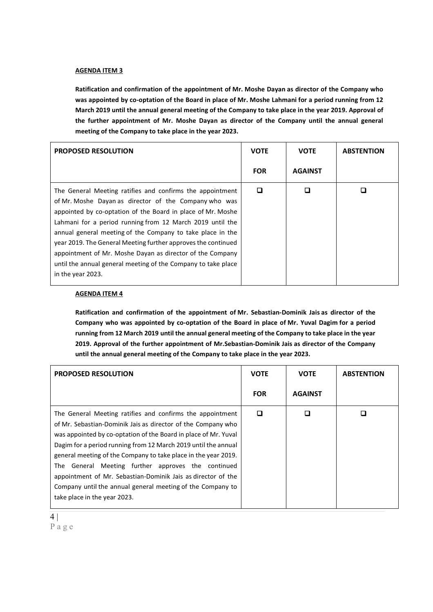### **AGENDA ITEM 3**

**Ratification and confirmation of the appointment of Mr. Moshe Dayan as director of the Company who was appointed by co-optation of the Board in place of Mr. Moshe Lahmani for a period running from 12 March 2019 until the annual general meeting of the Company to take place in the year 2019. Approval of the further appointment of Mr. Moshe Dayan as director of the Company until the annual general meeting of the Company to take place in the year 2023.** 

| <b>PROPOSED RESOLUTION</b>                                                                                                                                                                                                                                                                                                                                                                                                                                                                                                       | <b>VOTE</b> | <b>VOTE</b>    | <b>ABSTENTION</b> |
|----------------------------------------------------------------------------------------------------------------------------------------------------------------------------------------------------------------------------------------------------------------------------------------------------------------------------------------------------------------------------------------------------------------------------------------------------------------------------------------------------------------------------------|-------------|----------------|-------------------|
|                                                                                                                                                                                                                                                                                                                                                                                                                                                                                                                                  | <b>FOR</b>  | <b>AGAINST</b> |                   |
| The General Meeting ratifies and confirms the appointment<br>of Mr. Moshe Dayan as director of the Company who was<br>appointed by co-optation of the Board in place of Mr. Moshe<br>Lahmani for a period running from 12 March 2019 until the<br>annual general meeting of the Company to take place in the<br>year 2019. The General Meeting further approves the continued<br>appointment of Mr. Moshe Dayan as director of the Company<br>until the annual general meeting of the Company to take place<br>in the year 2023. | □           |                |                   |

### **AGENDA ITEM 4**

**Ratification and confirmation of the appointment of Mr. Sebastian-Dominik Jais as director of the Company who was appointed by co-optation of the Board in place of Mr. Yuval Dagim for a period running from 12 March 2019 until the annual general meeting of the Company to take place in the year 2019. Approval of the further appointment of Mr.Sebastian-Dominik Jais as director of the Company until the annual general meeting of the Company to take place in the year 2023.** 

| <b>PROPOSED RESOLUTION</b>                                                                                                                                                                                                                                                                                                                                                                                                                                                                                                                              | <b>VOTE</b> | <b>VOTE</b>    | <b>ABSTENTION</b> |
|---------------------------------------------------------------------------------------------------------------------------------------------------------------------------------------------------------------------------------------------------------------------------------------------------------------------------------------------------------------------------------------------------------------------------------------------------------------------------------------------------------------------------------------------------------|-------------|----------------|-------------------|
|                                                                                                                                                                                                                                                                                                                                                                                                                                                                                                                                                         | <b>FOR</b>  | <b>AGAINST</b> |                   |
| The General Meeting ratifies and confirms the appointment<br>of Mr. Sebastian-Dominik Jais as director of the Company who<br>was appointed by co-optation of the Board in place of Mr. Yuval<br>Dagim for a period running from 12 March 2019 until the annual<br>general meeting of the Company to take place in the year 2019.<br>General Meeting further approves the continued<br>The<br>appointment of Mr. Sebastian-Dominik Jais as director of the<br>Company until the annual general meeting of the Company to<br>take place in the year 2023. | ◘           |                |                   |